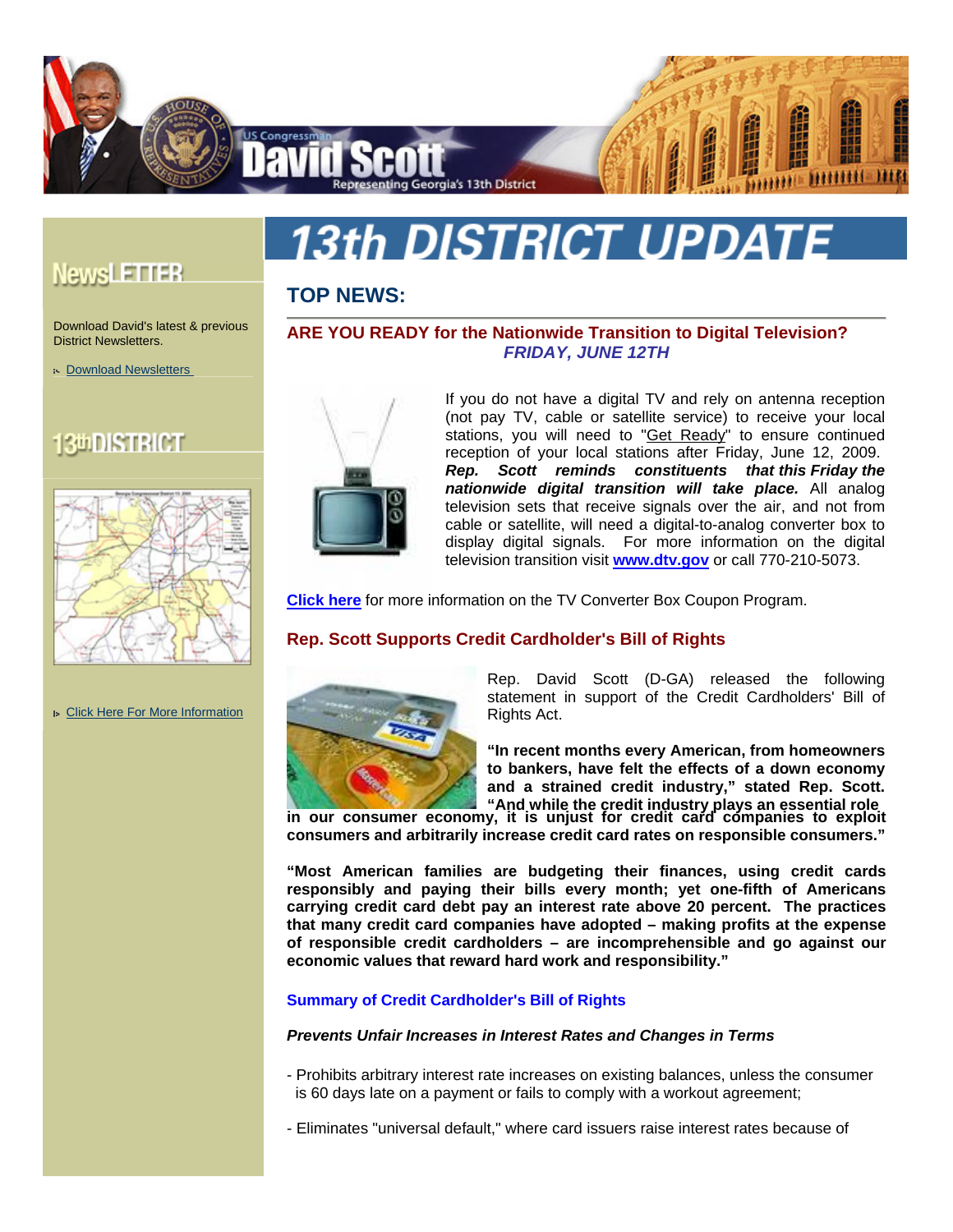

# **13th DISTRICT UPDATE**

**ARE YOU READY for the Nationwide Transition to Digital Television?** *FRIDAY, JUNE 12TH* 

# **TOP NEWS:**

Download David's latest & previous District Newsletters.

[Download Newsletters](http://davidscott.house.gov/Newsletters/) 

**NewsLETTER** 

# 130DISTRICT



If you do not have a digital TV and rely on antenna reception (not pay TV, cable or satellite service) to receive your local stations, you will need to "[Get Ready](http://dtv.gov/factsheets/DTVOne-Pager.html)" to ensure continued reception of your local stations after Friday, June 12, 2009.

*Rep. Scott reminds constituents that this Friday the nationwide digital transition will take place.* All analog television sets that receive signals over the air, and not from cable or satellite, will need a digital-to-analog converter box to display digital signals. For more information on the digital television transition visit **<www.dtv.gov>** or call 770-210-5073.

**[Click here](https://www.dtv2009.gov/)** for more information on the TV Converter Box Coupon Program.

# **Rep. Scott Supports Credit Cardholder's Bill of Rights**



Rep. David Scott (D-GA) released the following statement in support of the Credit Cardholders' Bill of Rights Act.

**"In recent months every American, from homeowners to bankers, have felt the effects of a down economy and a strained credit industry," stated Rep. Scott. "And while the credit industry plays an essential role**

**in our consumer economy, it is unjust for credit card companies to exploit consumers and arbitrarily increase credit card rates on responsible consumers."**

**"Most American families are budgeting their finances, using credit cards responsibly and paying their bills every month; yet one-fifth of Americans carrying credit card debt pay an interest rate above 20 percent. The practices that many credit card companies have adopted – making profits at the expense of responsible credit cardholders – are incomprehensible and go against our economic values that reward hard work and responsibility."** 

# **Summary of Credit Cardholder's Bill of Rights**

# *Prevents Unfair Increases in Interest Rates and Changes in Terms*

- Prohibits arbitrary interest rate increases on existing balances, unless the consumer is 60 days late on a payment or fails to comply with a workout agreement;

- Eliminates "universal default," where card issuers raise interest rates because of

#### [Click Here For More Information](http://davidscott.house.gov/District/)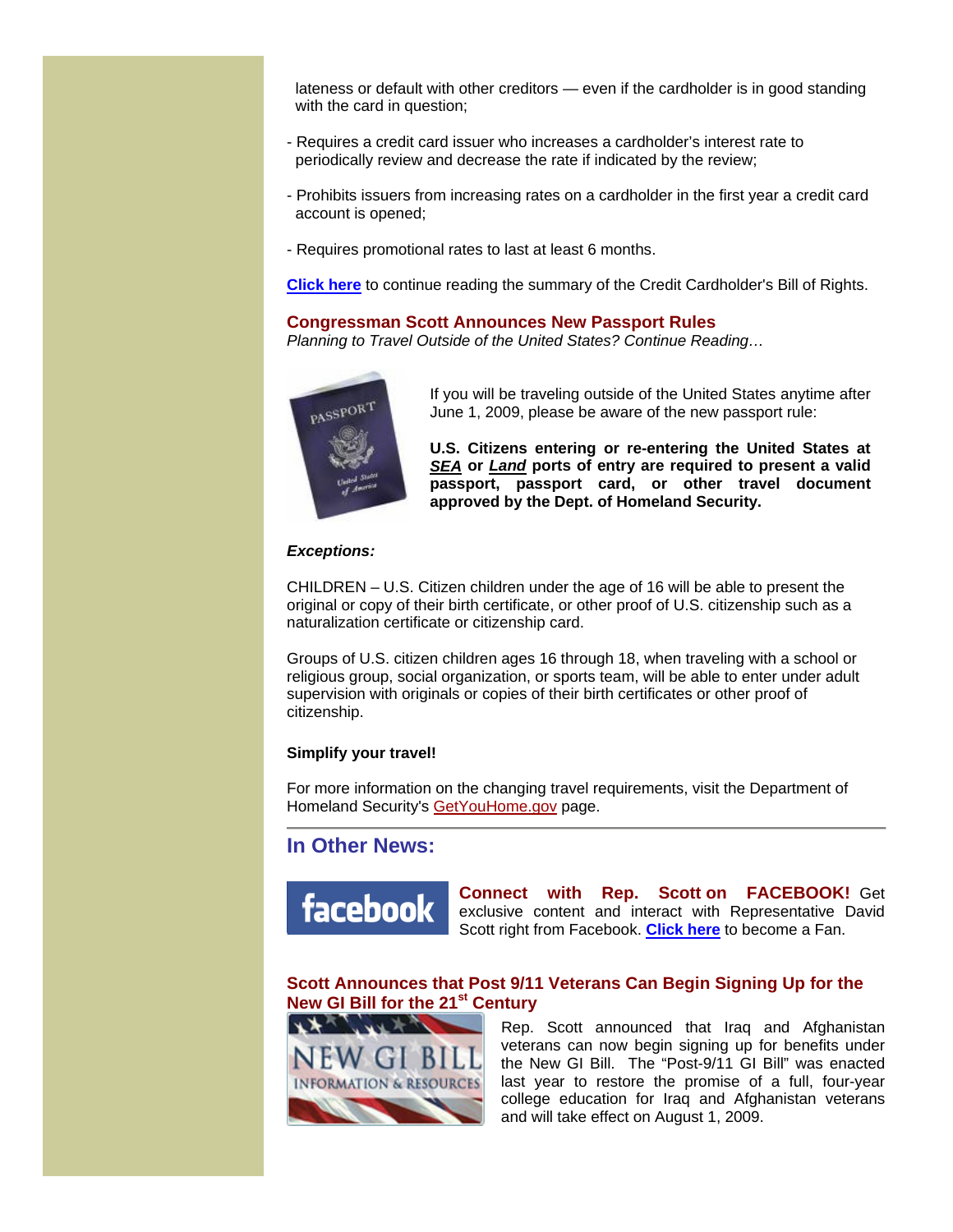lateness or default with other creditors — even if the cardholder is in good standing with the card in question;

- Requires a credit card issuer who increases a cardholder's interest rate to periodically review and decrease the rate if indicated by the review;
- Prohibits issuers from increasing rates on a cardholder in the first year a credit card account is opened;
- Requires promotional rates to last at least 6 months.

**[Click here](http://www.davidscott.house.gov/News/DocumentSingle.aspx?DocumentID=128779)** to continue reading the summary of the Credit Cardholder's Bill of Rights.

#### **Congressman Scott Announces New Passport Rules**

*Planning to Travel Outside of the United States? Continue Reading…* 



If you will be traveling outside of the United States anytime after June 1, 2009, please be aware of the new passport rule:

**U.S. Citizens entering or re-entering the United States at** *SEA* **or** *Land* **ports of entry are required to present a valid passport, passport card, or other travel document approved by the Dept. of Homeland Security.**

#### *Exceptions:*

CHILDREN – U.S. Citizen children under the age of 16 will be able to present the original or copy of their birth certificate, or other proof of U.S. citizenship such as a naturalization certificate or citizenship card.

Groups of U.S. citizen children ages 16 through 18, when traveling with a school or religious group, social organization, or sports team, will be able to enter under adult supervision with originals or copies of their birth certificates or other proof of citizenship.

#### **Simplify your travel!**

For more information on the changing travel requirements, visit the Department of Homeland Security's [GetYouHome.gov](http://www.getyouhome.gov/) page.

# **In Other News:**



**Connect with Rep. Scott on FACEBOOK!** Get exclusive content and interact with Representative David Scott right from Facebook. **[Click here](http://www.facebook.com/profile.php?id=8911066&ref=nf#/pages/Congressman-David-Scott/80822743598?ref=ts)** to become a Fan.

# **Scott Announces that Post 9/11 Veterans Can Begin Signing Up for the New GI Bill for the 21<sup>st</sup> Century**



Rep. Scott announced that Iraq and Afghanistan veterans can now begin signing up for benefits under the New GI Bill. The "Post-9/11 GI Bill" was enacted last year to restore the promise of a full, four-year college education for Iraq and Afghanistan veterans and will take effect on August 1, 2009.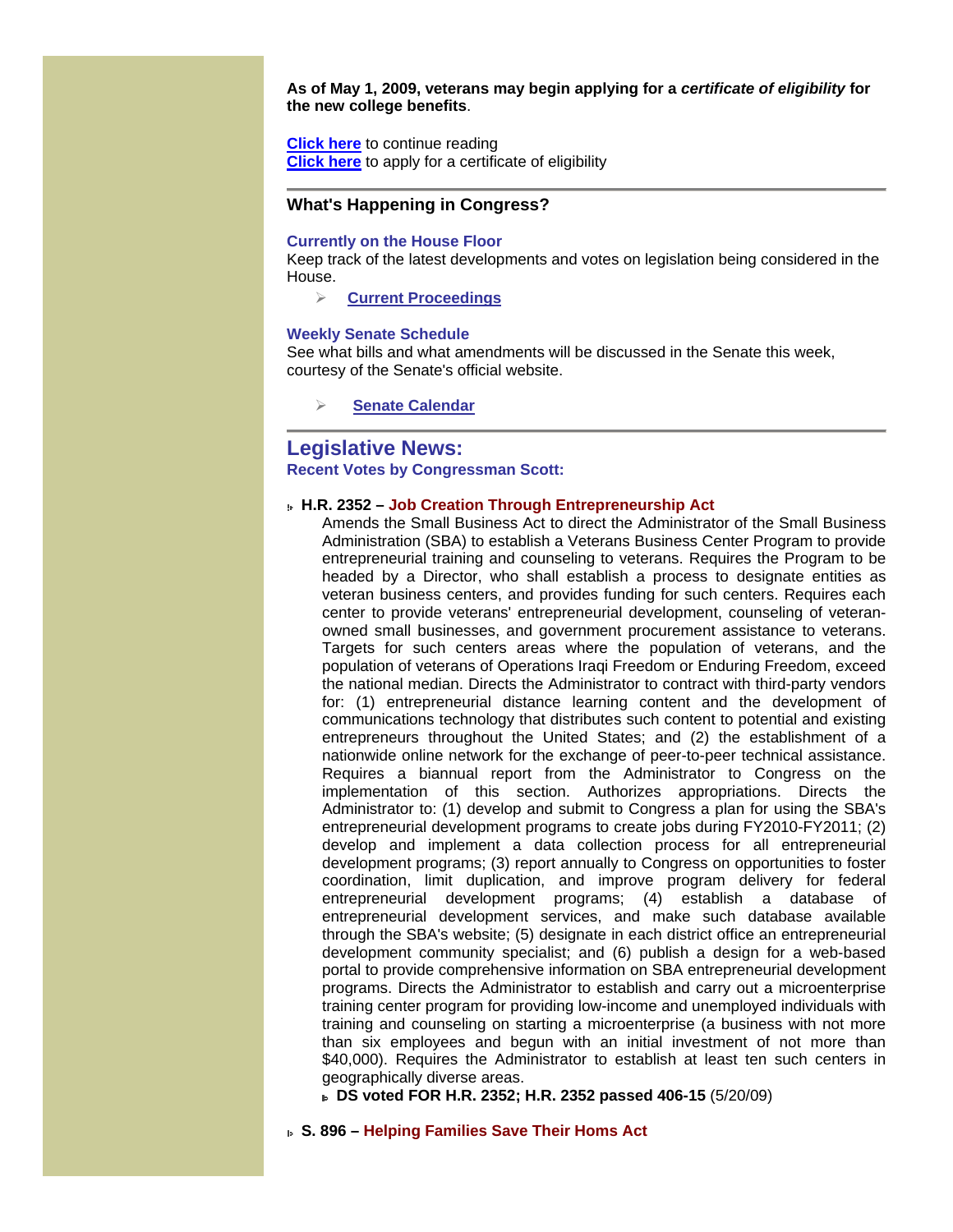**As of May 1, 2009, veterans may begin applying for a** *certificate of eligibility* **for the new college benefits**.

**[Click here](http://www.davidscott.house.gov/News/DocumentSingle.aspx?DocumentID=125594)** to continue reading **[Click here](http://www.gibill.va.gov/)** to apply for a certificate of eligibility

### **What's Happening in Congress?**

#### **Currently on the House Floor**

Keep track of the latest developments and votes on legislation being considered in the House.

**[Current Proceedings](http://clerk.house.gov/floorsummary/floor.html)**

#### **Weekly Senate Schedule**

See what bills and what amendments will be discussed in the Senate this week, courtesy of the Senate's official website.

**Senate Calendar**

# **Legislative News: Recent Votes by Congressman Scott:**

#### **H.R. 2352 – Job Creation Through Entrepreneurship Act**

Amends the Small Business Act to direct the Administrator of the Small Business Administration (SBA) to establish a Veterans Business Center Program to provide entrepreneurial training and counseling to veterans. Requires the Program to be headed by a Director, who shall establish a process to designate entities as veteran business centers, and provides funding for such centers. Requires each center to provide veterans' entrepreneurial development, counseling of veteranowned small businesses, and government procurement assistance to veterans. Targets for such centers areas where the population of veterans, and the population of veterans of Operations Iraqi Freedom or Enduring Freedom, exceed the national median. Directs the Administrator to contract with third-party vendors for: (1) entrepreneurial distance learning content and the development of communications technology that distributes such content to potential and existing entrepreneurs throughout the United States; and (2) the establishment of a nationwide online network for the exchange of peer-to-peer technical assistance. Requires a biannual report from the Administrator to Congress on the implementation of this section. Authorizes appropriations. Directs the Administrator to: (1) develop and submit to Congress a plan for using the SBA's entrepreneurial development programs to create jobs during FY2010-FY2011; (2) develop and implement a data collection process for all entrepreneurial development programs; (3) report annually to Congress on opportunities to foster coordination, limit duplication, and improve program delivery for federal entrepreneurial development programs; (4) establish a database of entrepreneurial development services, and make such database available through the SBA's website; (5) designate in each district office an entrepreneurial development community specialist; and (6) publish a design for a web-based portal to provide comprehensive information on SBA entrepreneurial development programs. Directs the Administrator to establish and carry out a microenterprise training center program for providing low-income and unemployed individuals with training and counseling on starting a microenterprise (a business with not more than six employees and begun with an initial investment of not more than \$40,000). Requires the Administrator to establish at least ten such centers in geographically diverse areas.

 **DS voted FOR H.R. 2352; H.R. 2352 passed 406-15** (5/20/09)

 **S. 896 – Helping Families Save Their Homs Act**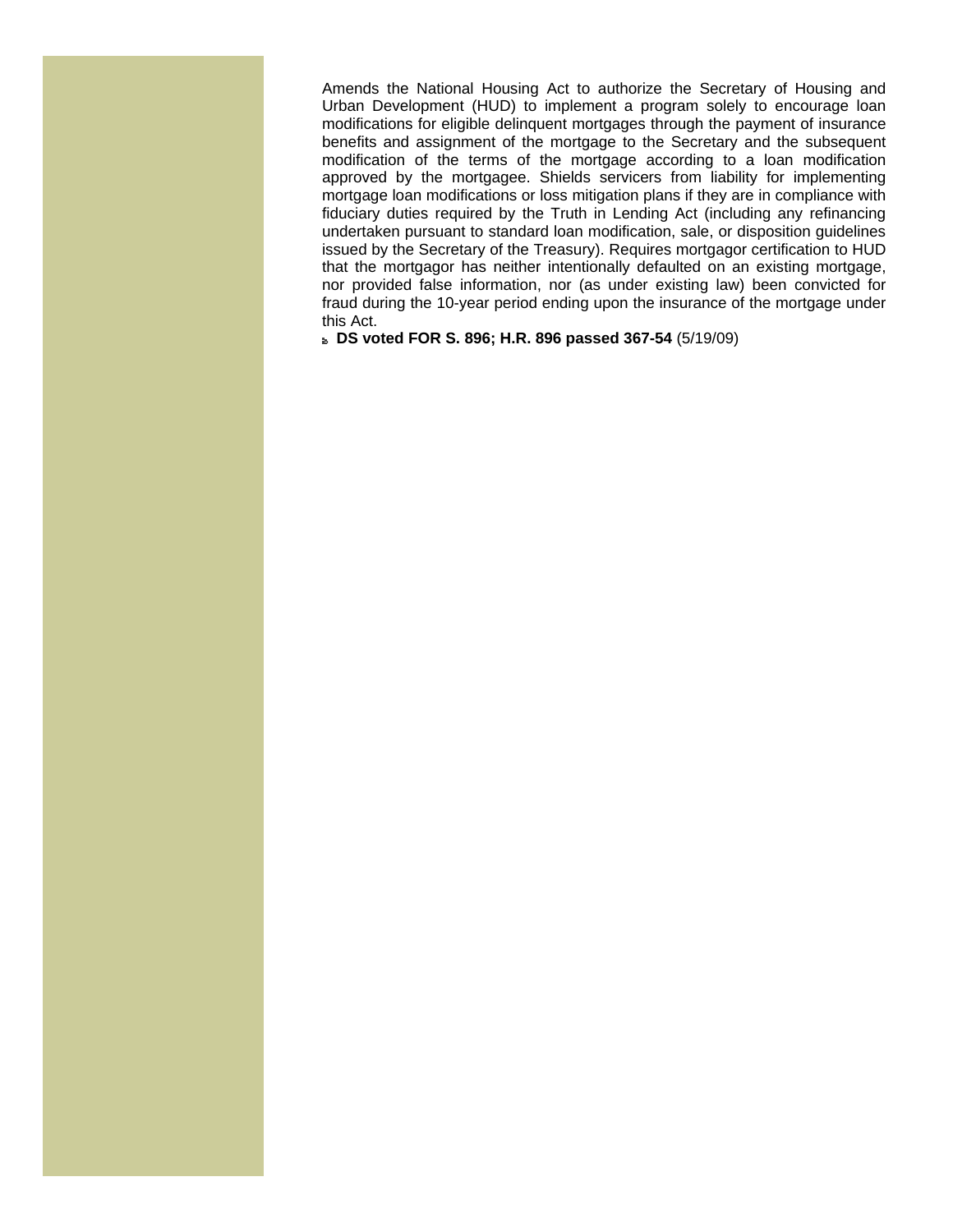Amends the National Housing Act to authorize the Secretary of Housing and Urban Development (HUD) to implement a program solely to encourage loan modifications for eligible delinquent mortgages through the payment of insurance benefits and assignment of the mortgage to the Secretary and the subsequent modification of the terms of the mortgage according to a loan modification approved by the mortgagee. Shields servicers from liability for implementing mortgage loan modifications or loss mitigation plans if they are in compliance with fiduciary duties required by the Truth in Lending Act (including any refinancing undertaken pursuant to standard loan modification, sale, or disposition guidelines issued by the Secretary of the Treasury). Requires mortgagor certification to HUD that the mortgagor has neither intentionally defaulted on an existing mortgage, nor provided false information, nor (as under existing law) been convicted for fraud during the 10-year period ending upon the insurance of the mortgage under this Act.

 **DS voted FOR S. 896; H.R. 896 passed 367-54** (5/19/09)